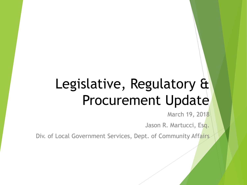# Legislative, Regulatory & Procurement Update

March 19, 2018

Jason R. Martucci, Esq.

Div. of Local Government Services, Dept. of Community Affairs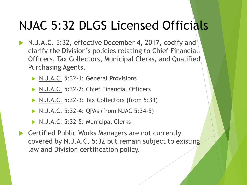- N.J.A.C. 5:32, effective December 4, 2017, codify and clarify the Division's policies relating to Chief Financial Officers, Tax Collectors, Municipal Clerks, and Qualified Purchasing Agents.
	- N.J.A.C. 5:32-1: General Provisions
	- N.J.A.C. 5:32-2: Chief Financial Officers
	- ▶ N.J.A.C. 5:32-3: Tax Collectors (from 5:33)
	- ▶ N.J.A.C. 5:32-4: QPAs (from NJAC 5:34-5)
	- N.J.A.C. 5:32-5: Municipal Clerks
- ▶ Certified Public Works Managers are not currently covered by N.J.A.C. 5:32 but remain subject to existing law and Division certification policy.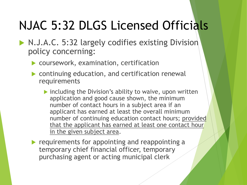- N.J.A.C. 5:32 largely codifies existing Division policy concerning:
	- coursework, examination, certification
	- continuing education, and certification renewal requirements
		- $\triangleright$  including the Division's ability to waive, upon written application and good cause shown, the minimum number of contact hours in a subject area if an applicant has earned at least the overall minimum number of continuing education contact hours; provided that the applicant has earned at least one contact hour in the given subject area.
	- $\blacktriangleright$  requirements for appointing and reappointing a temporary chief financial officer, temporary purchasing agent or acting municipal clerk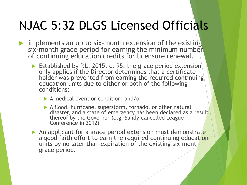- implements an up to six-month extension of the existing six-month grace period for earning the minimum number of continuing education credits for licensure renewal.
	- Established by P.L. 2015, c. 95, the grace period extension only applies if the Director determines that a certificate holder was prevented from earning the required continuing education units due to either or both of the following conditions:
		- A medical event or condition; and/or
		- A flood, hurricane, superstorm, tornado, or other natural disaster, and a state of emergency has been declared as a result thereof by the Governor (e.g. Sandy-cancelled League Conference in 2012)
	- An applicant for a grace period extension must demonstrate a good faith effort to earn the required continuing education units by no later than expiration of the existing six-month grace period.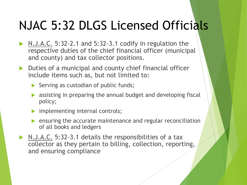- N.J.A.C. 5:32-2.1 and 5:32-3.1 codify in regulation the respective duties of the chief financial officer (municipal and county) and tax collector positions.
- Duties of a municipal and county chief financial officer include items such as, but not limited to:
	- $\triangleright$  Serving as custodian of public funds;
	- **Example 3** assisting in preparing the annual budget and developing fiscal policy;
	- **implementing internal controls;**
	- $\triangleright$  ensuring the accurate maintenance and regular reconciliation of all books and ledgers
- ▶ N.J.A.C. 5:32-3.1 details the responsibilities of a tax collector as they pertain to billing, collection, reporting, and ensuring compliance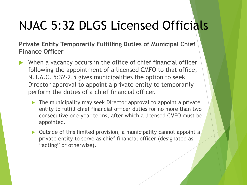**Private Entity Temporarily Fulfilling Duties of Municipal Chief Finance Officer**

- When a vacancy occurs in the office of chief financial officer following the appointment of a licensed CMFO to that office, N.J.A.C. 5:32-2.5 gives municipalities the option to seek Director approval to appoint a private entity to temporarily perform the duties of a chief financial officer.
	- ▶ The municipality may seek Director approval to appoint a private entity to fulfill chief financial officer duties for no more than two consecutive one-year terms, after which a licensed CMFO must be appointed.
	- $\triangleright$  Outside of this limited provision, a municipality cannot appoint a private entity to serve as chief financial officer (designated as "acting" or otherwise).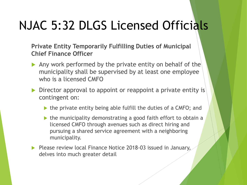**Private Entity Temporarily Fulfilling Duties of Municipal Chief Finance Officer**

- Any work performed by the private entity on behalf of the municipality shall be supervised by at least one employee who is a licensed CMFO
- Director approval to appoint or reappoint a private entity is contingent on:
	- $\triangleright$  the private entity being able fulfill the duties of a CMFO; and
	- $\triangleright$  the municipality demonstrating a good faith effort to obtain a licensed CMFO through avenues such as direct hiring and pursuing a shared service agreement with a neighboring municipality.
- Please review local Finance Notice 2018-03 issued in January, delves into much greater detail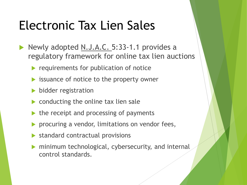- Newly adopted N.J.A.C. 5:33-1.1 provides a regulatory framework for online tax lien auctions
	- requirements for publication of notice
	- **In issuance of notice to the property owner**
	- **bidder registration**
	- $\triangleright$  conducting the online tax lien sale
	- $\blacktriangleright$  the receipt and processing of payments
	- procuring a vendor, limitations on vendor fees,
	- **Standard contractual provisions**
	- minimum technological, cybersecurity, and internal control standards.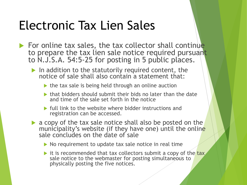- $\blacktriangleright$  For online tax sales, the tax collector shall continue to prepare the tax lien sale notice required pursuant to N.J.S.A. 54:5-25 for posting in 5 public places.
	- $\blacktriangleright$  In addition to the statutorily required content, the notice of sale shall also contain a statement that:
		- $\triangleright$  the tax sale is being held through an online auction
		- $\triangleright$  that bidders should submit their bids no later than the date and time of the sale set forth in the notice
		- $\blacktriangleright$  full link to the website where bidder instructions and registration can be accessed.
	- a copy of the tax sale notice shall also be posted on the municipality's website (if they have one) until the online sale concludes on the date of sale
		- $\triangleright$  No requirement to update tax sale notice in real time
		- it is recommended that tax collectors submit a copy of the tax sale notice to the webmaster for posting simultaneous to physically posting the five notices.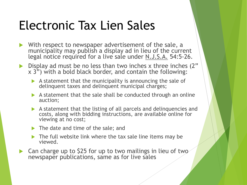- With respect to newspaper advertisement of the sale, a municipality may publish a display ad in lieu of the current legal notice required for a live sale under N.J.S.A. 54:5-26.
- $\triangleright$  Display ad must be no less than two inches x three inches (2"  $x$  3") with a bold black border, and contain the following:
	- $\blacktriangleright$  A statement that the municipality is announcing the sale of delinquent taxes and delinquent municipal charges;
	- $\triangleright$  A statement that the sale shall be conducted through an online auction;
	- A statement that the listing of all parcels and delinquencies and costs, along with bidding instructions, are available online for viewing at no cost;
	- ▶ The date and time of the sale; and
	- $\blacktriangleright$  The full website link where the tax sale line items may be viewed.
- Can charge up to \$25 for up to two mailings in lieu of two newspaper publications, same as for live sales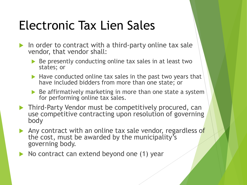- In order to contract with a third-party online tax sale vendor, that vendor shall:
	- $\triangleright$  Be presently conducting online tax sales in at least two states; or
	- $\blacktriangleright$  Have conducted online tax sales in the past two years that have included bidders from more than one state; or
	- $\triangleright$  Be affirmatively marketing in more than one state a system for performing online tax sales.
- **Third-Party Vendor must be competitively procured, can** use competitive contracting upon resolution of governing body
- Any contract with an online tax sale vendor, regardless of the cost, must be awarded by the municipality's governing body.
- No contract can extend beyond one (1) year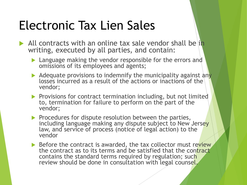- All contracts with an online tax sale vendor shall be in writing, executed by all parties, and contain:
	- **Language making the vendor responsible for the errors and** omissions of its employees and agents;
	- $\blacktriangleright$  Adequate provisions to indemnify the municipality against any losses incurred as a result of the actions or inactions of the vendor;
	- $\blacktriangleright$  Provisions for contract termination including, but not limited to, termination for failure to perform on the part of the vendor;
	- $\blacktriangleright$  Procedures for dispute resolution between the parties, including language making any dispute subject to New Jersey law, and service of process (notice of legal action) to the vendor
	- $\triangleright$  Before the contract is awarded, the tax collector must review the contract as to its terms and be satisfied that the contract contains the standard terms required by regulation; such review should be done in consultation with legal counsel.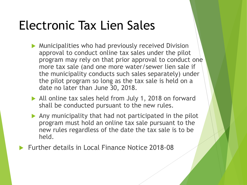- **Municipalities who had previously received Division** approval to conduct online tax sales under the pilot program may rely on that prior approval to conduct one more tax sale (and one more water/sewer lien sale if the municipality conducts such sales separately) under the pilot program so long as the tax sale is held on a date no later than June 30, 2018.
- All online tax sales held from July 1, 2018 on forward shall be conducted pursuant to the new rules.
- $\blacktriangleright$  Any municipality that had not participated in the pilot program must hold an online tax sale pursuant to the new rules regardless of the date the tax sale is to be held.
- Further details in Local Finance Notice 2018-08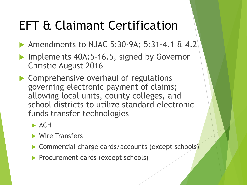- ▶ Amendments to NJAC 5:30-9A; 5:31-4.1 & 4.2
- Implements 40A:5-16.5, signed by Governor Christie August 2016
- Comprehensive overhaul of regulations governing electronic payment of claims; allowing local units, county colleges, and school districts to utilize standard electronic funds transfer technologies
	- $\blacktriangleright$  ACH
	- **Wire Transfers**
	- ▶ Commercial charge cards/accounts (except schools)
	- **Procurement cards (except schools)**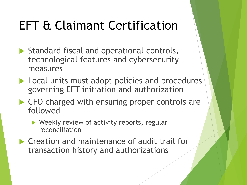- $\blacktriangleright$  Standard fiscal and operational controls, technological features and cybersecurity measures
- Local units must adopt policies and procedures governing EFT initiation and authorization
- ▶ CFO charged with ensuring proper controls are followed
	- ▶ Weekly review of activity reports, regular reconciliation
- ▶ Creation and maintenance of audit trail for transaction history and authorizations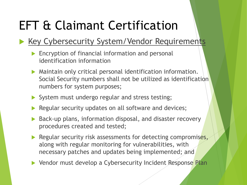#### Key Cybersecurity System/Vendor Requirements

- **Encryption of financial information and personal** identification information
- Maintain only critical personal identification information. Social Security numbers shall not be utilized as identification numbers for system purposes;
- System must undergo regular and stress testing;
- Regular security updates on all software and devices;
- ▶ Back-up plans, information disposal, and disaster recovery procedures created and tested;
- Regular security risk assessments for detecting compromises, along with regular monitoring for vulnerabilities, with necessary patches and updates being implemented; and
- ▶ Vendor must develop a Cybersecurity Incident Response Plan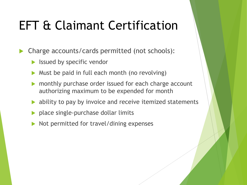Charge accounts/cards permitted (not schools):

- Issued by specific vendor
- Must be paid in full each month (no revolving)
- monthly purchase order issued for each charge account authorizing maximum to be expended for month
- ability to pay by invoice and receive itemized statements
- ▶ place single-purchase dollar limits
- Not permitted for travel/dining expenses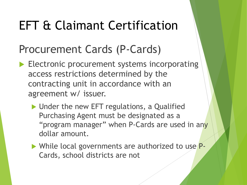#### Procurement Cards (P-Cards)

- Electronic procurement systems incorporating access restrictions determined by the contracting unit in accordance with an agreement w/ issuer.
	- ▶ Under the new EFT regulations, a Qualified Purchasing Agent must be designated as a "program manager" when P-Cards are used in any dollar amount.
	- While local governments are authorized to use P-Cards, school districts are not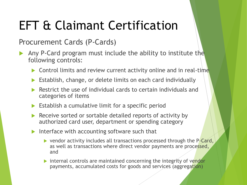#### Procurement Cards (P-Cards)

- Any P-Card program must include the ability to institute the following controls:
	- Control limits and review current activity online and in real-time
	- Establish, change, or delete limits on each card individually
	- Restrict the use of individual cards to certain individuals and categories of items
	- $\triangleright$  Establish a cumulative limit for a specific period
	- Receive sorted or sortable detailed reports of activity by authorized card user, department or spending category
	- Interface with accounting software such that
		- ▶ vendor activity includes all transactions processed through the P-Card, as well as transactions where direct vendor payments are processed, and
		- $\triangleright$  internal controls are maintained concerning the integrity of vendor payments, accumulated costs for goods and services (aggregation)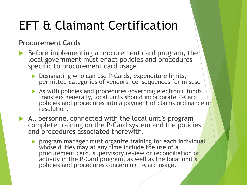#### **Procurement Cards**

- $\triangleright$  Before implementing a procurement card program, the local government must enact policies and procedures specific to procurement card usage
	- Designating who can use P-Cards, expenditure limits, permitted categories of vendors, consequences for misuse
	- As with policies and procedures governing electronic funds transfers generally, local units should incorporate P-Card policies and procedures into a payment of claims ordinance or resolution.
- All personnel connected with the local unit's program complete training on the P-Card system and the policies and procedures associated therewith.
	- **Program manager must organize training for each individual** whose duties may at any time include the use of a procurement card, supervisory review or reconciliation of activity in the P-Card program, as well as the local unit's policies and procedures concerning P-Card usage.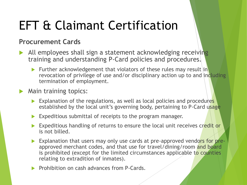#### **Procurement Cards**

- All employees shall sign a statement acknowledging receiving training and understanding P-Card policies and procedures.
	- Further acknowledgement that violators of these rules may result in revocation of privilege of use and/or disciplinary action up to and including termination of employment.
- Main training topics:
	- $\triangleright$  Explanation of the regulations, as well as local policies and procedures established by the local unit's governing body, pertaining to P-Card usage
	- Expeditious submittal of receipts to the program manager.
	- Expeditious handling of returns to ensure the local unit receives credit or is not billed.
	- Explanation that users may only use cards at pre-approved vendors for preapproved merchant codes, and that use for travel/dining/room and board is prohibited (except for the limited circumstances applicable to counties relating to extradition of inmates).
	- **Prohibition on cash advances from P-Cards.**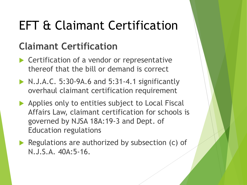#### **Claimant Certification**

- ▶ Certification of a vendor or representative thereof that the bill or demand is correct
- N.J.A.C. 5:30-9A.6 and 5:31-4.1 significantly overhaul claimant certification requirement
- Applies only to entities subject to Local Fiscal Affairs Law, claimant certification for schools is governed by NJSA 18A:19-3 and Dept. of Education regulations
- Regulations are authorized by subsection (c) of N.J.S.A. 40A:5-16.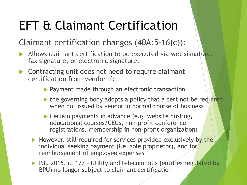#### Claimant certification changes (40A:5-16(c)):

- Allows claimant certification to be executed via wet signature, fax signature, or electronic signature.
- ▶ Contracting unit does not need to require claimant certification from vendor if:
	- **Payment made through an electronic transaction**
	- $\triangleright$  the governing body adopts a policy that a cert not be required when not issued by vendor in normal course of business
	- ▶ Certain payments in advance (e.g. website hosting, educational courses/CEUs, non-profit conference registrations, membership in non-profit organization)
	- $\blacktriangleright$  However, still required for services provided exclusively by the individual seeking payment (i.e. sole proprietor), and for reimbursement of employee expenses
	- ▶ P.L. 2015, c. 177 Utility and telecom bills (entities regulated by BPU) no longer subject to claimant certification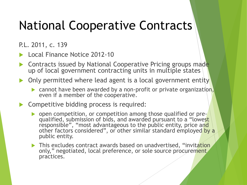## National Cooperative Contracts

P.L. 2011, c. 139

- Local Finance Notice 2012-10
- Contracts issued by National Cooperative Pricing groups made up of local government contracting units in multiple states
- Only permitted where lead agent is a local government entity
	- cannot have been awarded by a non-profit or private organization, even if a member of the cooperative.
- ▶ Competitive bidding process is required:
	- **Depen competition, or competition among those qualified or pre**qualified, submission of bids, and awarded pursuant to a "lowest responsible", "most advantageous to the public entity, price and other factors considered", or other similar standard employed by a public entity.
	- This excludes contract awards based on unadvertised, "invitation only," negotiated, local preference, or sole source procurement practices.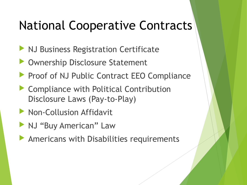## National Cooperative Contracts

- **NJ Business Registration Certificate**
- **Disclosure Statement**
- Proof of NJ Public Contract EEO Compliance
- ▶ Compliance with Political Contribution Disclosure Laws (Pay-to-Play)
- **Non-Collusion Affidavit**
- **NJ "Buy American" Law**
- Americans with Disabilities requirements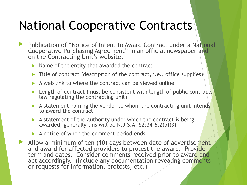## National Cooperative Contracts

- Publication of "Notice of Intent to Award Contract under a National Cooperative Purchasing Agreement" in an official newspaper and on the Contracting Unit's website.
	- $\triangleright$  Name of the entity that awarded the contract
	- $\triangleright$  Title of contract (description of the contract, i.e., office supplies)
	- A web link to where the contract can be viewed online
	- Length of contract (must be consistent with length of public contracts) law regulating the contracting unit)
	- A statement naming the vendor to whom the contracting unit intends to award the contract
	- $\blacktriangleright$  A statement of the authority under which the contract is being awarded; generally this will be N.J.S.A.  $52:34-6.2(b)(3)$
	- A notice of when the comment period ends
- Allow a minimum of ten (10) days between date of advertisement and award for affected providers to protest the award. Provide term and dates. Consider comments received prior to award and act accordingly. (Include any documentation revealing comments or requests for information, protests, etc.)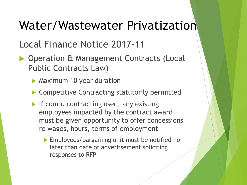#### Local Finance Notice 2017-11

- **Dearation & Management Contracts (Local** Public Contracts Law)
	- **Maximum 10 year duration**
	- ▶ Competitive Contracting statutorily permitted
	- If comp. contracting used, any existing employees impacted by the contract award must be given opportunity to offer concessions re wages, hours, terms of employment
		- **Employees/bargaining unit must be notified no** later than date of advertisement soliciting responses to RFP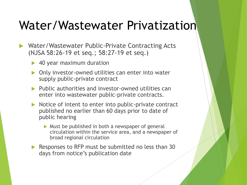- Water/Wastewater Public-Private Contracting Acts (NJSA 58:26-19 et seq.; 58:27-19 et seq.)
	- ▶ 40 year maximum duration
	- Only investor-owned utilities can enter into water supply public-private contract
	- **Public authorities and investor-owned utilities can** enter into wastewater public-private contracts.
	- $\triangleright$  Notice of intent to enter into public-private contract published no earlier than 60 days prior to date of public hearing
		- $\triangleright$  Must be published in both a newspaper of general circulation within the service area, and a newspaper of broad regional circulation
	- Responses to RFP must be submitted no less than  $30$ days from notice's publication date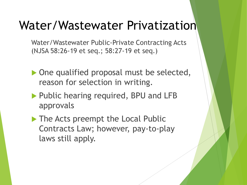Water/Wastewater Public-Private Contracting Acts (NJSA 58:26-19 et seq.; 58:27-19 et seq.)

- ▶ One qualified proposal must be selected, reason for selection in writing.
- ▶ Public hearing required, BPU and LFB approvals
- The Acts preempt the Local Public Contracts Law; however, pay-to-play laws still apply.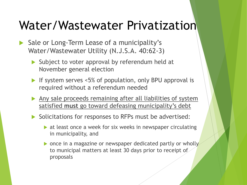- Sale or Long-Term Lease of a municipality's Water/Wastewater Utility (N.J.S.A. 40:62-3)
	- ▶ Subject to voter approval by referendum held at November general election
	- If system serves <5% of population, only BPU approval is required without a referendum needed
	- Any sale proceeds remaining after all liabilities of system satisfied **must** go toward defeasing municipality's debt
	- Solicitations for responses to RFPs must be advertised:
		- **at least once a week for six weeks in newspaper circulating** in municipality, and
		- $\triangleright$  once in a magazine or newspaper dedicated partly or wholly to municipal matters at least 30 days prior to receipt of proposals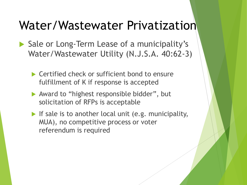- Sale or Long-Term Lease of a municipality's Water/Wastewater Utility (N.J.S.A. 40:62-3)
	- ▶ Certified check or sufficient bond to ensure fulfillment of K if response is accepted
	- ▶ Award to "highest responsible bidder", but solicitation of RFPs is acceptable
	- If sale is to another local unit (e.g. municipality, MUA), no competitive process or voter referendum is required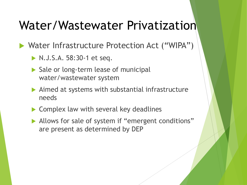- N.J.S.A. 58:30-1 et seq.
- Sale or long-term lease of municipal water/wastewater system
- Aimed at systems with substantial infrastructure needs
- ▶ Complex law with several key deadlines
- Allows for sale of system if "emergent conditions" are present as determined by DEP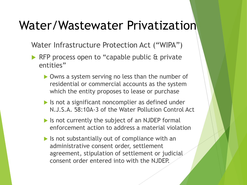- ▶ RFP process open to "capable public & private entities"
	- ▶ Owns a system serving no less than the number of residential or commercial accounts as the system which the entity proposes to lease or purchase
	- If Is not a significant noncomplier as defined under N.J.S.A. 58:10A-3 of the Water Pollution Control Act
	- $\blacktriangleright$  Is not currently the subject of an NJDEP formal enforcement action to address a material violation
	- $\triangleright$  Is not substantially out of compliance with an administrative consent order, settlement agreement, stipulation of settlement or judicial consent order entered into with the NJDEP.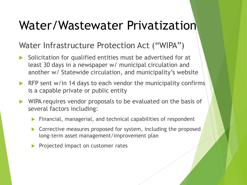- Solicitation for qualified entities must be advertised for at least 30 days in a newspaper w/ municipal circulation and another w/ Statewide circulation, and municipality's website
- $\triangleright$  RFP sent w/in 14 days to each vendor the municipality confirms is a capable private or public entity
- WIPA requires vendor proposals to be evaluated on the basis of several factors including:
	- **Financial, managerial, and technical capabilities of respondent**
	- **Corrective measures proposed for system, including the proposed** long-term asset management/improvement plan
	- Projected impact on customer rates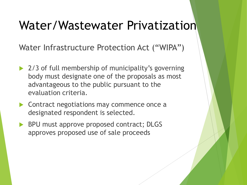- ▶ 2/3 of full membership of municipality's governing body must designate one of the proposals as most advantageous to the public pursuant to the evaluation criteria.
- ▶ Contract negotiations may commence once a designated respondent is selected.
- BPU must approve proposed contract; DLGS approves proposed use of sale proceeds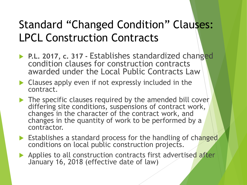- **P.L. 2017, c. 317 Establishes standardized changed** condition clauses for construction contracts awarded under the Local Public Contracts Law
- **Clauses apply even if not expressly included in the** contract.
- $\blacktriangleright$  The specific clauses required by the amended bill cover differing site conditions, suspensions of contract work, changes in the character of the contract work, and changes in the quantity of work to be performed by a contractor.
- Establishes a standard process for the handling of changed conditions on local public construction projects.
- Applies to all construction contracts first advertised after January 16, 2018 (effective date of law)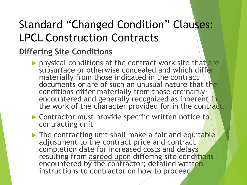#### **Differing Site Conditions**

- physical conditions at the contract work site that are subsurface or otherwise concealed and which differ materially from those indicated in the contract documents or are of such an unusual nature that the conditions differ materially from those ordinarily encountered and generally recognized as inherent in the work of the character provided for in the contract.
- Contractor must provide specific written notice to contracting unit
- $\blacktriangleright$  The contracting unit shall make a fair and equitable adjustment to the contract price and contract completion date for increased costs and delays resulting from agreed upon differing site conditions encountered by the contractor; detailed written instructions to contractor on how to proceed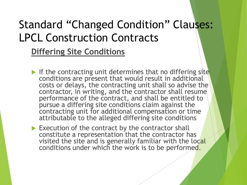**Differing Site Conditions**

- If the contracting unit determines that no differing site conditions are present that would result in additional costs or delays, the contracting unit shall so advise the contractor, in writing, and the contractor shall resume performance of the contract, and shall be entitled to pursue a differing site conditions claim against the contracting unit for additional compensation or time attributable to the alleged differing site conditions
- $\blacktriangleright$  Execution of the contract by the contractor shall constitute a representation that the contractor has visited the site and is generally familiar with the local conditions under which the work is to be performed.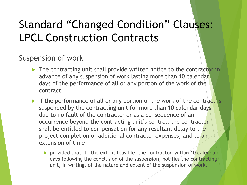#### Suspension of work

- $\triangleright$  The contracting unit shall provide written notice to the contractor in advance of any suspension of work lasting more than 10 calendar days of the performance of all or any portion of the work of the contract.
- If the performance of all or any portion of the work of the contract is suspended by the contracting unit for more than 10 calendar days due to no fault of the contractor or as a consequence of an occurrence beyond the contracting unit's control, the contractor shall be entitled to compensation for any resultant delay to the project completion or additional contractor expenses, and to an extension of time
	- **P** provided that, to the extent feasible, the contractor, within 10 calendar days following the conclusion of the suspension, notifies the contracting unit, in writing, of the nature and extent of the suspension of work.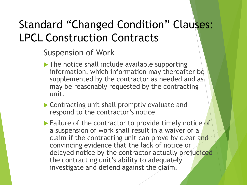Suspension of Work

- $\blacktriangleright$  The notice shall include available supporting information, which information may thereafter be supplemented by the contractor as needed and as may be reasonably requested by the contracting unit.
- ▶ Contracting unit shall promptly evaluate and respond to the contractor's notice
- **Failure of the contractor to provide timely notice of** a suspension of work shall result in a waiver of a claim if the contracting unit can prove by clear and convincing evidence that the lack of notice or delayed notice by the contractor actually prejudiced the contracting unit's ability to adequately investigate and defend against the claim.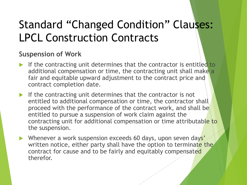#### **Suspension of Work**

- If the contracting unit determines that the contractor is entitled to additional compensation or time, the contracting unit shall make a fair and equitable upward adjustment to the contract price and contract completion date.
- If the contracting unit determines that the contractor is not entitled to additional compensation or time, the contractor shall proceed with the performance of the contract work, and shall be entitled to pursue a suspension of work claim against the contracting unit for additional compensation or time attributable to the suspension.
- Whenever a work suspension exceeds 60 days, upon seven days' written notice, either party shall have the option to terminate the contract for cause and to be fairly and equitably compensated therefor.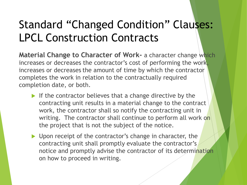**Material Change to Character of Work-** a character change which increases or decreases the contractor's cost of performing the work, increases or decreases the amount of time by which the contractor completes the work in relation to the contractually required completion date, or both.

- If the contractor believes that a change directive by the contracting unit results in a material change to the contract work, the contractor shall so notify the contracting unit in writing. The contractor shall continue to perform all work on the project that is not the subject of the notice.
- Depon receipt of the contractor's change in character, the contracting unit shall promptly evaluate the contractor's notice and promptly advise the contractor of its determination on how to proceed in writing.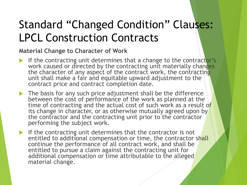#### **Material Change to Character of Work**

- If the contracting unit determines that a change to the contractor's work caused or directed by the contracting unit materially changes the character of any aspect of the contract work, the contracting unit shall make a fair and equitable upward adjustment to the contract price and contract completion date.
- The basis for any such price adjustment shall be the difference between the cost of performance of the work as planned at the time of contracting and the actual cost of such work as a result of its change in character, or as otherwise mutually agreed upon by the contractor and the contracting unit prior to the contractor performing the subject work.
- If the contracting unit determines that the contractor is not entitled to additional compensation or time, the contractor shall continue the performance of all contract work, and shall be entitled to pursue a claim against the contracting unit for additional compensation or time attributable to the alleged material change.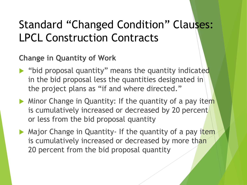**Change in Quantity of Work**

- "bid proposal quantity" means the quantity indicated in the bid proposal less the quantities designated in the project plans as "if and where directed."
- $\blacktriangleright$  Minor Change in Quantity: If the quantity of a pay item is cumulatively increased or decreased by 20 percent or less from the bid proposal quantity
- Major Change in Quantity- If the quantity of a pay item is cumulatively increased or decreased by more than 20 percent from the bid proposal quantity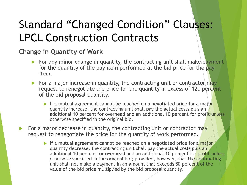#### **Change in Quantity of Work**

- For any minor change in quantity, the contracting unit shall make payment for the quantity of the pay item performed at the bid price for the pay item.
- For a major increase in quantity, the contracting unit or contractor  $\frac{m}{2}$ request to renegotiate the price for the quantity in excess of 120 percent of the bid proposal quantity.
	- If a mutual agreement cannot be reached on a negotiated price for a major quantity increase, the contracting unit shall pay the actual costs plus an additional 10 percent for overhead and an additional 10 percent for profit unless otherwise specified in the original bid.
- For a major decrease in quantity, the contracting unit or contractor may request to renegotiate the price for the quantity of work performed.
	- If a mutual agreement cannot be reached on a negotiated price for a major quantity decrease, the contracting unit shall pay the actual costs plus an additional 10 percent for overhead and an additional 10 percent for profit unless otherwise specified in the original bid; provided, however, that the contracting unit shall not make a payment in an amount that exceeds 80 percent of the value of the bid price multiplied by the bid proposal quantity.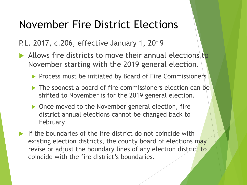P.L. 2017, c.206, effective January 1, 2019

- Allows fire districts to move their annual elections to November starting with the 2019 general election.
	- **Process must be initiated by Board of Fire Commissioners**
	- The soonest a board of fire commissioners election can be shifted to November is for the 2019 general election.
	- ▶ Once moved to the November general election, fire district annual elections cannot be changed back to February
- If the boundaries of the fire district do not coincide with existing election districts, the county board of elections may revise or adjust the boundary lines of any election district to coincide with the fire district's boundaries.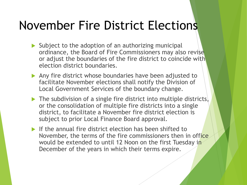- $\triangleright$  Subject to the adoption of an authorizing municipal ordinance, the Board of Fire Commissioners may also revise or adjust the boundaries of the fire district to coincide with election district boundaries.
- Any fire district whose boundaries have been adjusted to facilitate November elections shall notify the Division of Local Government Services of the boundary change.
- $\triangleright$  The subdivision of a single fire district into multiple districts, or the consolidation of multiple fire districts into a single district, to facilitate a November fire district election is subject to prior Local Finance Board approval.
- If the annual fire district election has been shifted to November, the terms of the fire commissioners then in office would be extended to until 12 Noon on the first Tuesday in December of the years in which their terms expire.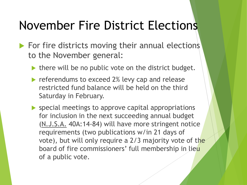- $\blacktriangleright$  For fire districts moving their annual elections to the November general:
	- $\blacktriangleright$  there will be no public vote on the district budget.
	- referendums to exceed 2% levy cap and release restricted fund balance will be held on the third Saturday in February.
	- **SPECIAL MEETINGS TO APPROVE CAPITAL APPROPRIATIONS** for inclusion in the next succeeding annual budget (N.J.S.A. 40A:14-84) will have more stringent notice requirements (two publications w/in 21 days of vote), but will only require a 2/3 majority vote of the board of fire commissioners' full membership in lieu of a public vote.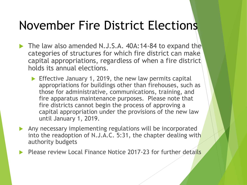- The law also amended N.J.S.A. 40A:14-84 to expand the categories of structures for which fire district can make capital appropriations, regardless of when a fire district holds its annual elections.
	- **Effective January 1, 2019, the new law permits capital** appropriations for buildings other than firehouses, such as those for administrative, communications, training, and fire apparatus maintenance purposes. Please note that fire districts cannot begin the process of approving a capital appropriation under the provisions of the new law until January 1, 2019.
- Any necessary implementing regulations will be incorporated into the readoption of N.J.A.C. 5:31, the chapter dealing with authority budgets
- Please review Local Finance Notice 2017-23 for further details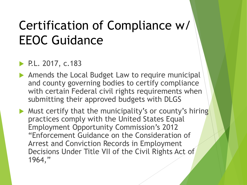## Certification of Compliance w/ EEOC Guidance

#### P.L. 2017, c.183

Amends the Local Budget Law to require municipal and county governing bodies to certify compliance with certain Federal civil rights requirements when submitting their approved budgets with DLGS

Must certify that the municipality's or county's hiring practices comply with the United States Equal Employment Opportunity Commission's 2012 "Enforcement Guidance on the Consideration of Arrest and Conviction Records in Employment Decisions Under Title VII of the Civil Rights Act of 1964,"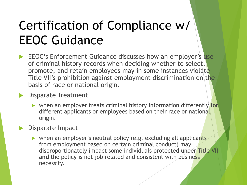## Certification of Compliance w/ EEOC Guidance

- EEOC's Enforcement Guidance discusses how an employer's use of criminal history records when deciding whether to select, promote, and retain employees may in some instances violate Title VII's prohibition against employment discrimination on the basis of race or national origin.
- **Disparate Treatment** 
	- when an employer treats criminal history information differently for different applicants or employees based on their race or national origin.
- Disparate Impact
	- ▶ when an employer's neutral policy (e.g. excluding all applicants from employment based on certain criminal conduct) may disproportionately impact some individuals protected under Title VII **and** the policy is not job related and consistent with business necessity.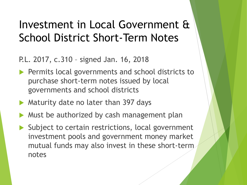#### Investment in Local Government & School District Short-Term Notes

P.L. 2017, c.310 – signed Jan. 16, 2018

- **Permits local governments and school districts to** purchase short-term notes issued by local governments and school districts
- Maturity date no later than 397 days
- Must be authorized by cash management plan
- $\blacktriangleright$  Subject to certain restrictions, local government investment pools and government money market mutual funds may also invest in these short-term notes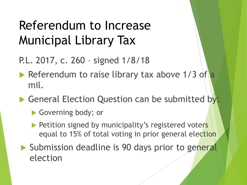## Referendum to Increase Municipal Library Tax

- P.L. 2017, c. 260 signed 1/8/18
- Referendum to raise library tax above  $1/3$  of a mil.
- General Election Question can be submitted by:
	- Governing body; or
	- Petition signed by municipality's registered voters equal to 15% of total voting in prior general election
- Submission deadline is 90 days prior to general election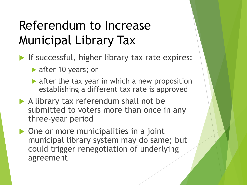## Referendum to Increase Municipal Library Tax

- If successful, higher library tax rate expires:
	- after 10 years; or
	- $\blacktriangleright$  after the tax year in which a new proposition establishing a different tax rate is approved
- A library tax referendum shall not be submitted to voters more than once in any three-year period
- ▶ One or more municipalities in a joint municipal library system may do same; but could trigger renegotiation of underlying agreement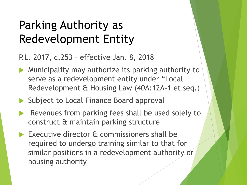## Parking Authority as Redevelopment Entity

P.L. 2017, c.253 – effective Jan. 8, 2018

- Municipality may authorize its parking authority to serve as a redevelopment entity under "Local Redevelopment & Housing Law (40A:12A-1 et seq.)
- Subject to Local Finance Board approval
- Revenues from parking fees shall be used solely to construct & maintain parking structure
- Executive director & commissioners shall be required to undergo training similar to that for similar positions in a redevelopment authority or housing authority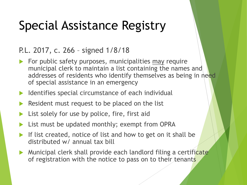## Special Assistance Registry

#### P.L. 2017, c. 266 – signed 1/8/18

- $\blacktriangleright$  For public safety purposes, municipalities may require municipal clerk to maintain a list containing the names and addresses of residents who identify themselves as being in need of special assistance in an emergency
- $\blacktriangleright$  Identifies special circumstance of each individual
- Resident must request to be placed on the list
- List solely for use by police, fire, first aid
- List must be updated monthly; exempt from OPRA
- If list created, notice of list and how to get on it shall be distributed w/ annual tax bill
- **Municipal clerk shall provide each landlord filing a certificate** of registration with the notice to pass on to their tenants